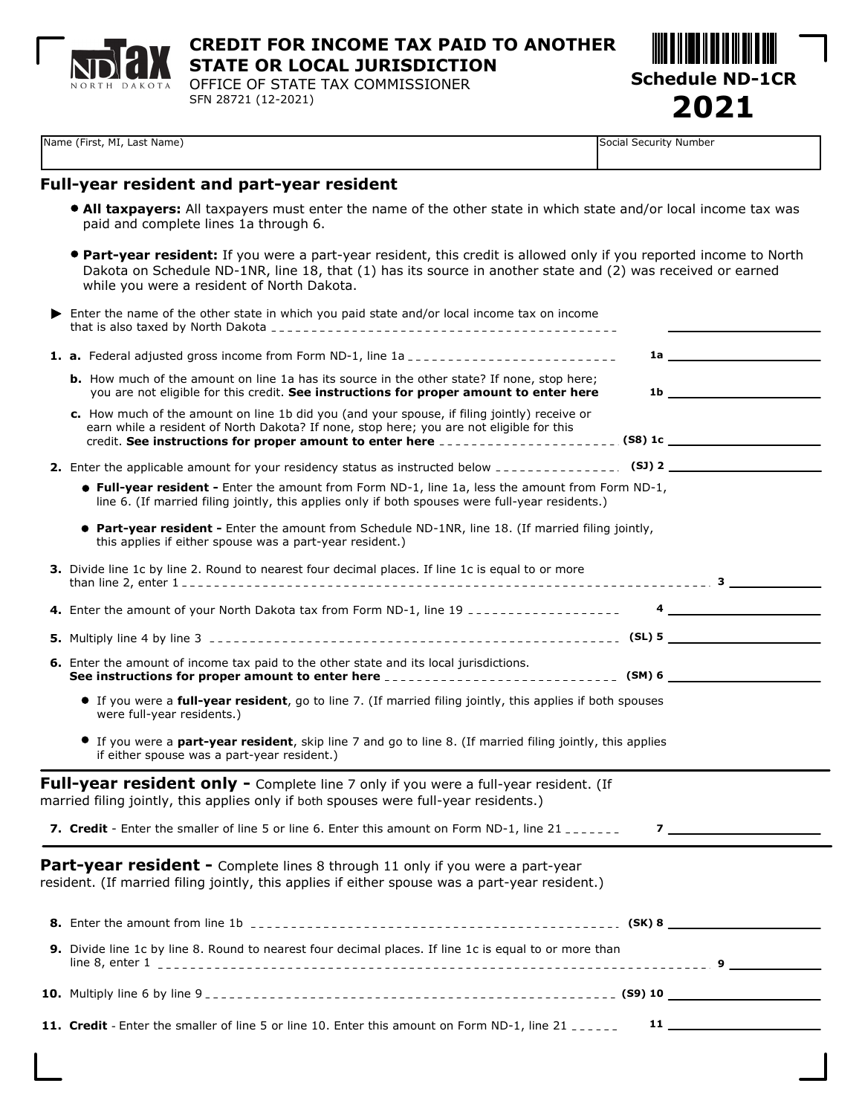

## **CREDIT FOR INCOME TAX PAID TO ANOTHER STATE OR LOCAL JURISDICTION**

OFFICE OF STATE TAX COMMISSIONER SFN 28721 (12-2021)

**Schedule ND-1CR 2021**

Name (First, MI, Last Name) Social Security Number

## **Full-year resident and part-year resident**

- **All taxpayers:** All taxpayers must enter the name of the other state in which state and/or local income tax was paid and complete lines 1a through 6.
- **Part-year resident:** If you were a part-year resident, this credit is allowed only if you reported income to North Dakota on Schedule ND-1NR, line 18, that (1) has its source in another state and (2) was received or earned while you were a resident of North Dakota.

| ▶ | Enter the name of the other state in which you paid state and/or local income tax on income                                                                                                                                                                                                                |                                                    |
|---|------------------------------------------------------------------------------------------------------------------------------------------------------------------------------------------------------------------------------------------------------------------------------------------------------------|----------------------------------------------------|
|   | 1. a. Federal adjusted gross income from Form ND-1, line 1a __________________________                                                                                                                                                                                                                     |                                                    |
|   | <b>b.</b> How much of the amount on line 1a has its source in the other state? If none, stop here;<br>you are not eligible for this credit. See instructions for proper amount to enter here                                                                                                               | $1b$ <u>expansion of <math>\overline{a}</math></u> |
|   | c. How much of the amount on line 1b did you (and your spouse, if filing jointly) receive or<br>earn while a resident of North Dakota? If none, stop here; you are not eligible for this<br>credit. See instructions for proper amount to enter here _______________________(S8) 1c ______________________ |                                                    |
|   |                                                                                                                                                                                                                                                                                                            |                                                    |
|   | <b>• Full-year resident -</b> Enter the amount from Form ND-1, line 1a, less the amount from Form ND-1,<br>line 6. (If married filing jointly, this applies only if both spouses were full-year residents.)                                                                                                |                                                    |
|   | <b>• Part-year resident -</b> Enter the amount from Schedule ND-1NR, line 18. (If married filing jointly,<br>this applies if either spouse was a part-year resident.)                                                                                                                                      |                                                    |
|   | 3. Divide line 1c by line 2. Round to nearest four decimal places. If line 1c is equal to or more                                                                                                                                                                                                          |                                                    |
|   |                                                                                                                                                                                                                                                                                                            |                                                    |
|   |                                                                                                                                                                                                                                                                                                            |                                                    |
|   | 6. Enter the amount of income tax paid to the other state and its local jurisdictions.                                                                                                                                                                                                                     |                                                    |
|   | If you were a full-year resident, go to line 7. (If married filing jointly, this applies if both spouses<br>were full-year residents.)                                                                                                                                                                     |                                                    |
|   | If you were a <b>part-year resident</b> , skip line 7 and go to line 8. (If married filing jointly, this applies<br>if either spouse was a part-year resident.)                                                                                                                                            |                                                    |
|   | <b>Full-year resident only -</b> Complete line 7 only if you were a full-year resident. (If<br>married filing jointly, this applies only if both spouses were full-year residents.)                                                                                                                        |                                                    |
|   | 7. Credit - Enter the smaller of line 5 or line 6. Enter this amount on Form ND-1, line 21                                                                                                                                                                                                                 | $\overline{z}$ , and $\overline{z}$                |
|   | Part-year resident - Complete lines 8 through 11 only if you were a part-year<br>resident. (If married filing jointly, this applies if either spouse was a part-year resident.)                                                                                                                            |                                                    |
|   |                                                                                                                                                                                                                                                                                                            |                                                    |
|   | 9. Divide line 1c by line 8. Round to nearest four decimal places. If line 1c is equal to or more than                                                                                                                                                                                                     |                                                    |
|   |                                                                                                                                                                                                                                                                                                            |                                                    |
|   | 11. Credit - Enter the smaller of line 5 or line 10. Enter this amount on Form ND-1, line 21 ______                                                                                                                                                                                                        | $\mathbf{11}$ and $\mathbf{12}$                    |